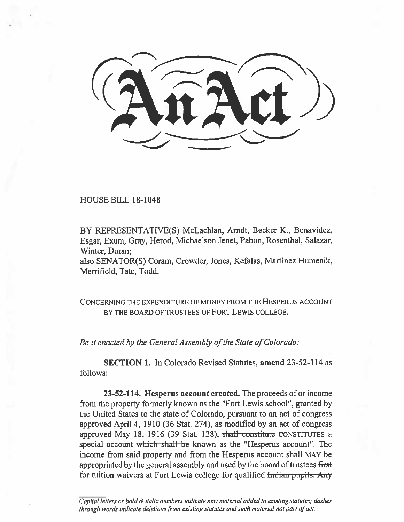HOUSE BILL 18-1048

BY REPRESENTATIVE(S) McLachlan, Arndt, Becker K., Benavidez, Esgar, Exum, Gray, Herod, Michaelson Jenet, Pabon, Rosenthal, Salazar, Winter, Duran;

also SENATOR(S) Coram, Crowder, Jones, Kefalas, Martinez Humenik, Merrifield, Tate, Todd.

CONCERNING THE EXPENDITURE OF MONEY FROM THE HESPERUS ACCOUNT BY THE BOARD OF TRUSTEES OF FORT LEWIS COLLEGE.

*Be it enacted by the General Assembly of the State of Colorado:* 

**SECTION 1.** In Colorado Revised Statutes, **amend** 23-52-114 as follows:

**23-52-114. Hesperus account created.** The proceeds of or income from the property formerly known as the "Fort Lewis school", granted by the United States to the state of Colorado, pursuant to an act of congress approved April 4, 1910 (36 Stat. 274), as modified by an act of congress approved May 18, 1916 (39 Stat. 128), shall constitute CONSTITUTES a special account which shall be known as the "Hesperus account". The income from said property and from the Hesperus account shall MAY be appropriated by the general assembly and used by the board of trustees first for tuition waivers at Fort Lewis college for qualified <del>Indian pupils. Any</del>

Capital letters or bold & italic numbers indicate new material added to existing statutes; dashes through words indicate deletions from existing statutes and such material not part of act.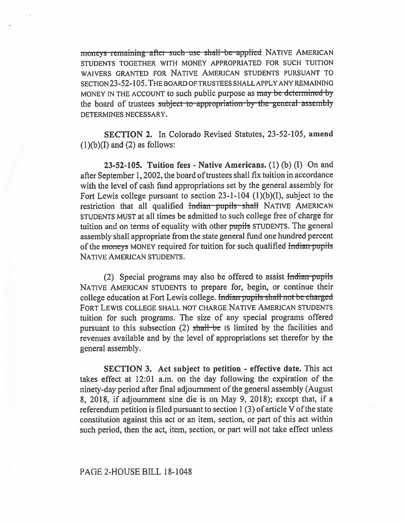*moneys* remaining after such use shall be applied NATIVE AMERICAN STUDENTS TOGETHER WITH MONEY APPROPRIATED FOR SUCH TUITION WAIVERS GRANTED FOR NATIVE AMERICAN STUDENTS PURSUANT TO SECTION 23-52-105. THE BOARD OF TRUSTEES SHALL APPLY ANY REMAINING MONEY IN THE ACCOUNT to such public purpose as may be determined by the board of trustees subject to appropriation by the general assembly DETERMINES NECESSARY.

**SECTION 2.** In Colorado Revised Statutes, 23-52-105, **amend**   $(1)(b)(I)$  and  $(2)$  as follows:

**23-52-105. Tuition fees - Native Americans.** (1) (b) (I) On and after September 1, 2002, the board of trustees shall fix tuition in accordance with the level of cash fund appropriations set by the general assembly for Fort Lewis college pursuant to section 23-1-104 (1)(b)(I), subject to the restriction that all qualified Indian pupils shall NATIVE AMERICAN STUDENTS MUST at all times be admitted to such college free of charge for tuition and on terms of equality with other pupils STUDENTS. The general assembly shall appropriate from the state general fund one hundred percent of the moneys MONEY required for tuition for such qualified Indian pupils NATIVE AMERICAN STUDENTS.

(2) Special programs may also be offered to assist  $\frac{1}{100}$  pupils NATIVE AMERICAN STUDENTS to prepare for, begin, or continue their college education at Fort Lewis college. Indian pupils shall not be charged FORT LEWIS COLLEGE SHALL NOT CHARGE NATIVE AMERICAN STUDENTS tuition for such programs. The size of any special programs offered pursuant to this subsection  $(2)$  shall be IS limited by the facilities and revenues available and **by the** level of appropriations set therefor by **the**  general assembly.

**SECTION 3. Act subject to petition - effective date.** This act takes effect at 12:01 a.m. on the day following the expiration of the ninety-day period after final adjournment of the general assembly (August 8, 2018, if adjournment sine die is on May 9, 2018); except that, if a referendum petition is filed pursuant to section 1 (3) of article V of the state constitution against this act or an item, section, or part of this act within such period, then the act, item, section, or part will not take effect unless